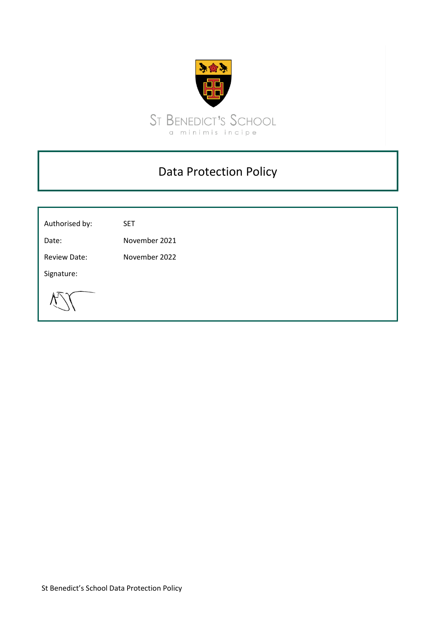

## Data Protection Policy

Authorised by: SET Date: November 2021 Review Date: November 2022 Signature: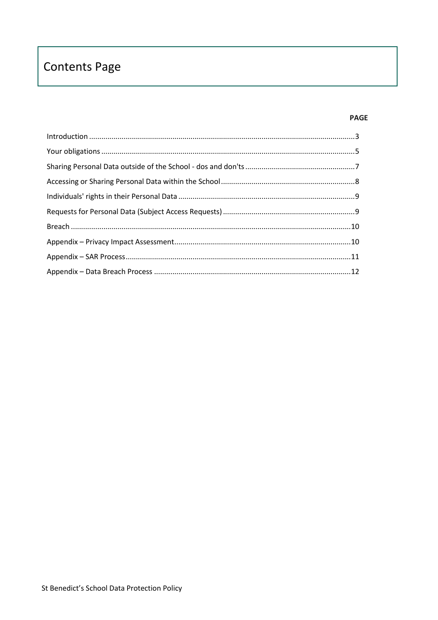# **Contents Page**

#### **PAGE**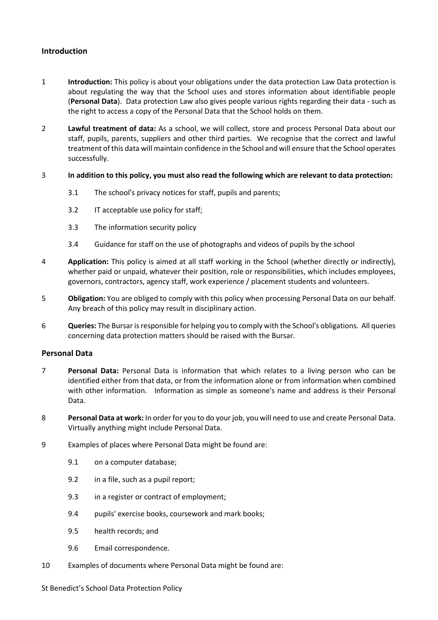## <span id="page-2-0"></span>**Introduction**

- 1 **Introduction:** This policy is about your obligations under the data protection Law Data protection is about regulating the way that the School uses and stores information about identifiable people (**Personal Data**). Data protection Law also gives people various rights regarding their data - such as the right to access a copy of the Personal Data that the School holds on them.
- 2 **Lawful treatment of data:** As a school, we will collect, store and process Personal Data about our staff, pupils, parents, suppliers and other third parties. We recognise that the correct and lawful treatment of this data will maintain confidence in the School and will ensure that the School operates successfully.

#### 3 **In addition to this policy, you must also read the following which are relevant to data protection:**

- 3.1 The school's privacy notices for staff, pupils and parents;
- 3.2 IT acceptable use policy for staff;
- 3.3 The information security policy
- 3.4 Guidance for staff on the use of photographs and videos of pupils by the school
- 4 **Application:** This policy is aimed at all staff working in the School (whether directly or indirectly), whether paid or unpaid, whatever their position, role or responsibilities, which includes employees, governors, contractors, agency staff, work experience / placement students and volunteers.
- 5 **Obligation:** You are obliged to comply with this policy when processing Personal Data on our behalf. Any breach of this policy may result in disciplinary action.
- 6 **Queries:** The Bursaris responsible for helping you to comply with the School's obligations. All queries concerning data protection matters should be raised with the Bursar.

#### **Personal Data**

- 7 **Personal Data:** Personal Data is information that which relates to a living person who can be identified either from that data, or from the information alone or from information when combined with other information. Information as simple as someone's name and address is their Personal Data.
- 8 **Personal Data at work:** In order for you to do your job, you will need to use and create Personal Data. Virtually anything might include Personal Data.
- 9 Examples of places where Personal Data might be found are:
	- 9.1 on a computer database;
	- 9.2 in a file, such as a pupil report;
	- 9.3 in a register or contract of employment;
	- 9.4 pupils' exercise books, coursework and mark books;
	- 9.5 health records; and
	- 9.6 Email correspondence.
- 10 Examples of documents where Personal Data might be found are: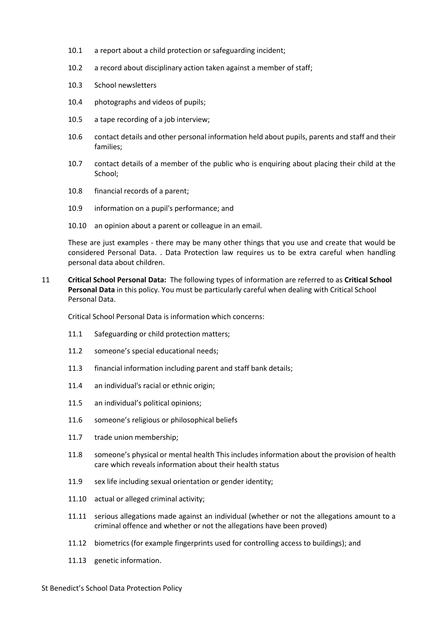- 10.1 a report about a child protection or safeguarding incident;
- 10.2 a record about disciplinary action taken against a member of staff;
- 10.3 School newsletters
- 10.4 photographs and videos of pupils;
- 10.5 a tape recording of a job interview;
- 10.6 contact details and other personal information held about pupils, parents and staff and their families;
- 10.7 contact details of a member of the public who is enquiring about placing their child at the School;
- 10.8 financial records of a parent;
- 10.9 information on a pupil's performance; and
- 10.10 an opinion about a parent or colleague in an email.

These are just examples - there may be many other things that you use and create that would be considered Personal Data. . Data Protection law requires us to be extra careful when handling personal data about children.

11 **Critical School Personal Data:** The following types of information are referred to as **Critical School Personal Data** in this policy. You must be particularly careful when dealing with Critical School Personal Data.

Critical School Personal Data is information which concerns:

- 11.1 Safeguarding or child protection matters;
- 11.2 someone's special educational needs;
- 11.3 financial information including parent and staff bank details;
- 11.4 an individual's racial or ethnic origin;
- 11.5 an individual's political opinions;
- 11.6 someone's religious or philosophical beliefs
- 11.7 trade union membership;
- 11.8 someone's physical or mental health This includes information about the provision of health care which reveals information about their health status
- 11.9 sex life including sexual orientation or gender identity;
- 11.10 actual or alleged criminal activity;
- 11.11 serious allegations made against an individual (whether or not the allegations amount to a criminal offence and whether or not the allegations have been proved)
- 11.12 biometrics (for example fingerprints used for controlling access to buildings); and
- 11.13 genetic information.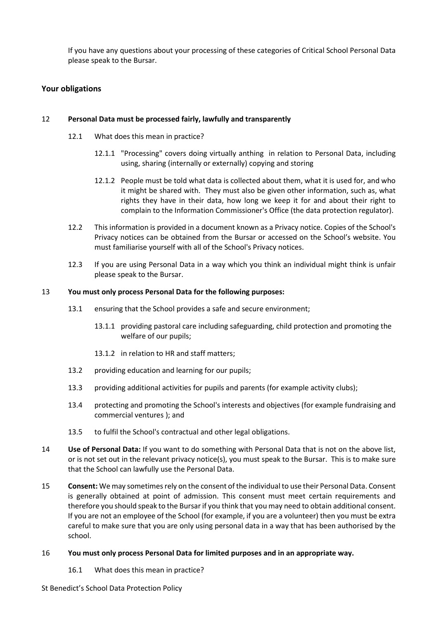If you have any questions about your processing of these categories of Critical School Personal Data please speak to the Bursar.

## <span id="page-4-0"></span>**Your obligations**

#### 12 **Personal Data must be processed fairly, lawfully and transparently**

- 12.1 What does this mean in practice?
	- 12.1.1 "Processing" covers doing virtually anthing in relation to Personal Data, including using, sharing (internally or externally) copying and storing
	- 12.1.2 People must be told what data is collected about them, what it is used for, and who it might be shared with. They must also be given other information, such as, what rights they have in their data, how long we keep it for and about their right to complain to the Information Commissioner's Office (the data protection regulator).
- 12.2 This information is provided in a document known as a Privacy notice. Copies of the School's Privacy notices can be obtained from the Bursar or accessed on the School's website. You must familiarise yourself with all of the School's Privacy notices.
- 12.3 If you are using Personal Data in a way which you think an individual might think is unfair please speak to the Bursar.

#### 13 **You must only process Personal Data for the following purposes:**

- 13.1 ensuring that the School provides a safe and secure environment;
	- 13.1.1 providing pastoral care including safeguarding, child protection and promoting the welfare of our pupils;
	- 13.1.2 in relation to HR and staff matters;
- 13.2 providing education and learning for our pupils;
- 13.3 providing additional activities for pupils and parents (for example activity clubs);
- 13.4 protecting and promoting the School's interests and objectives (for example fundraising and commercial ventures ); and
- 13.5 to fulfil the School's contractual and other legal obligations.
- 14 **Use of Personal Data:** If you want to do something with Personal Data that is not on the above list, or is not set out in the relevant privacy notice(s), you must speak to the Bursar. This is to make sure that the School can lawfully use the Personal Data.
- 15 **Consent:** We may sometimes rely on the consent of the individual to use their Personal Data. Consent is generally obtained at point of admission. This consent must meet certain requirements and therefore you should speak to the Bursar if you think that you may need to obtain additional consent. If you are not an employee of the School (for example, if you are a volunteer) then you must be extra careful to make sure that you are only using personal data in a way that has been authorised by the school.

#### 16 **You must only process Personal Data for limited purposes and in an appropriate way.**

16.1 What does this mean in practice?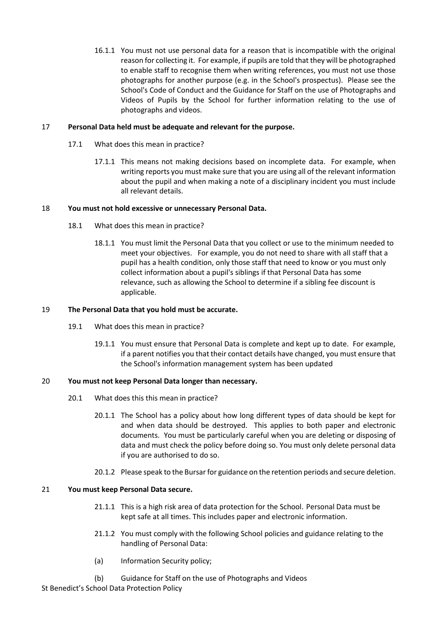16.1.1 You must not use personal data for a reason that is incompatible with the original reason for collecting it. For example, if pupils are told that they will be photographed to enable staff to recognise them when writing references, you must not use those photographs for another purpose (e.g. in the School's prospectus). Please see the School's Code of Conduct and the Guidance for Staff on the use of Photographs and Videos of Pupils by the School for further information relating to the use of photographs and videos.

## 17 **Personal Data held must be adequate and relevant for the purpose.**

- 17.1 What does this mean in practice?
	- 17.1.1 This means not making decisions based on incomplete data. For example, when writing reports you must make sure that you are using all of the relevant information about the pupil and when making a note of a disciplinary incident you must include all relevant details.

#### 18 **You must not hold excessive or unnecessary Personal Data.**

- 18.1 What does this mean in practice?
	- 18.1.1 You must limit the Personal Data that you collect or use to the minimum needed to meet your objectives. For example, you do not need to share with all staff that a pupil has a health condition, only those staff that need to know or you must only collect information about a pupil's siblings if that Personal Data has some relevance, such as allowing the School to determine if a sibling fee discount is applicable.

#### 19 **The Personal Data that you hold must be accurate.**

- 19.1 What does this mean in practice?
	- 19.1.1 You must ensure that Personal Data is complete and kept up to date. For example, if a parent notifies you that their contact details have changed, you must ensure that the School's information management system has been updated

#### 20 **You must not keep Personal Data longer than necessary.**

- 20.1 What does this this mean in practice?
	- 20.1.1 The School has a policy about how long different types of data should be kept for and when data should be destroyed. This applies to both paper and electronic documents. You must be particularly careful when you are deleting or disposing of data and must check the policy before doing so. You must only delete personal data if you are authorised to do so.
	- 20.1.2 Please speak to the Bursar for guidance on the retention periods and secure deletion.

#### 21 **You must keep Personal Data secure.**

- 21.1.1 This is a high risk area of data protection for the School. Personal Data must be kept safe at all times. This includes paper and electronic information.
- 21.1.2 You must comply with the following School policies and guidance relating to the handling of Personal Data:
- (a) Information Security policy;
- (b) Guidance for Staff on the use of Photographs and Videos

St Benedict's School Data Protection Policy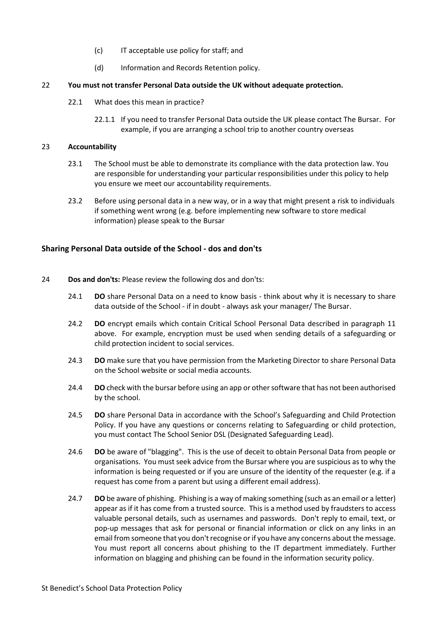- (c) IT acceptable use policy for staff; and
- (d) Information and Records Retention policy.

#### 22 **You must not transfer Personal Data outside the UK without adequate protection.**

- 22.1 What does this mean in practice?
	- 22.1.1 If you need to transfer Personal Data outside the UK please contact The Bursar. For example, if you are arranging a school trip to another country overseas

#### 23 **Accountability**

- 23.1 The School must be able to demonstrate its compliance with the data protection law. You are responsible for understanding your particular responsibilities under this policy to help you ensure we meet our accountability requirements.
- 23.2 Before using personal data in a new way, or in a way that might present a risk to individuals if something went wrong (e.g. before implementing new software to store medical information) please speak to the Bursar

## <span id="page-6-0"></span>**Sharing Personal Data outside of the School - dos and don'ts**

- 24 **Dos and don'ts:** Please review the following dos and don'ts:
	- 24.1 **DO** share Personal Data on a need to know basis think about why it is necessary to share data outside of the School - if in doubt - always ask your manager/ The Bursar.
	- 24.2 **DO** encrypt emails which contain Critical School Personal Data described in paragraph 11 above. For example, encryption must be used when sending details of a safeguarding or child protection incident to social services.
	- 24.3 **DO** make sure that you have permission from the Marketing Director to share Personal Data on the School website or social media accounts.
	- 24.4 **DO** check with the bursar before using an app or other software that has not been authorised by the school.
	- 24.5 **DO** share Personal Data in accordance with the School's Safeguarding and Child Protection Policy. If you have any questions or concerns relating to Safeguarding or child protection, you must contact The School Senior DSL (Designated Safeguarding Lead).
	- 24.6 **DO** be aware of "blagging". This is the use of deceit to obtain Personal Data from people or organisations. You must seek advice from the Bursar where you are suspicious as to why the information is being requested or if you are unsure of the identity of the requester (e.g. if a request has come from a parent but using a different email address).
	- 24.7 **DO** be aware of phishing. Phishing is a way of making something (such as an email or a letter) appear as if it has come from a trusted source. This is a method used by fraudsters to access valuable personal details, such as usernames and passwords. Don't reply to email, text, or pop-up messages that ask for personal or financial information or click on any links in an email from someone that you don't recognise or if you have any concerns about the message. You must report all concerns about phishing to the IT department immediately. Further information on blagging and phishing can be found in the information security policy.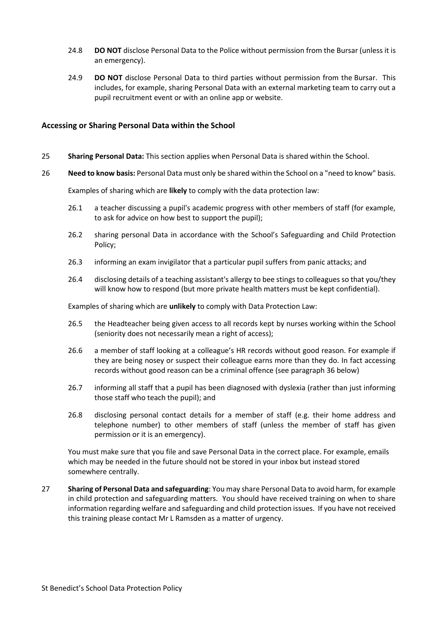- 24.8 **DO NOT** disclose Personal Data to the Police without permission from the Bursar (unless it is an emergency).
- 24.9 **DO NOT** disclose Personal Data to third parties without permission from the Bursar. This includes, for example, sharing Personal Data with an external marketing team to carry out a pupil recruitment event or with an online app or website.

## <span id="page-7-0"></span>**Accessing or Sharing Personal Data within the School**

- 25 **Sharing Personal Data:** This section applies when Personal Data is shared within the School.
- 26 **Need to know basis:** Personal Data must only be shared within the School on a "need to know" basis.

Examples of sharing which are **likely** to comply with the data protection law:

- 26.1 a teacher discussing a pupil's academic progress with other members of staff (for example, to ask for advice on how best to support the pupil);
- 26.2 sharing personal Data in accordance with the School's Safeguarding and Child Protection Policy;
- 26.3 informing an exam invigilator that a particular pupil suffers from panic attacks; and
- 26.4 disclosing details of a teaching assistant's allergy to bee stings to colleagues so that you/they will know how to respond (but more private health matters must be kept confidential).

Examples of sharing which are **unlikely** to comply with Data Protection Law:

- 26.5 the Headteacher being given access to all records kept by nurses working within the School (seniority does not necessarily mean a right of access);
- 26.6 a member of staff looking at a colleague's HR records without good reason. For example if they are being nosey or suspect their colleague earns more than they do. In fact accessing records without good reason can be a criminal offence (see paragraph 36 below)
- 26.7 informing all staff that a pupil has been diagnosed with dyslexia (rather than just informing those staff who teach the pupil); and
- 26.8 disclosing personal contact details for a member of staff (e.g. their home address and telephone number) to other members of staff (unless the member of staff has given permission or it is an emergency).

You must make sure that you file and save Personal Data in the correct place. For example, emails which may be needed in the future should not be stored in your inbox but instead stored somewhere centrally.

27 **Sharing of Personal Data and safeguarding**: You may share Personal Data to avoid harm, for example in child protection and safeguarding matters. You should have received training on when to share information regarding welfare and safeguarding and child protection issues. If you have not received this training please contact Mr L Ramsden as a matter of urgency.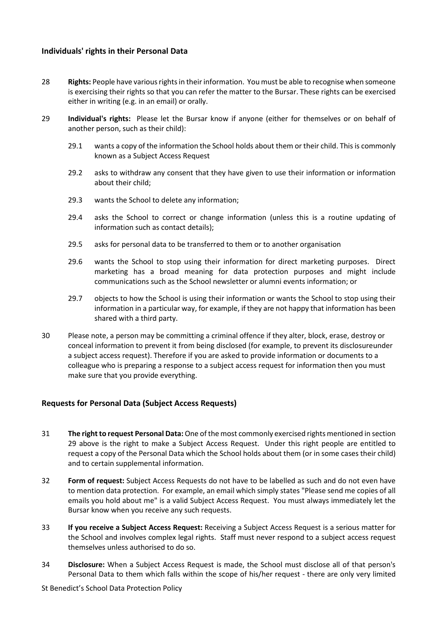## <span id="page-8-0"></span>**Individuals' rights in their Personal Data**

- 28 **Rights:** People have various rights in their information. You must be able to recognise when someone is exercising their rights so that you can refer the matter to the Bursar. These rights can be exercised either in writing (e.g. in an email) or orally.
- 29 **Individual's rights:** Please let the Bursar know if anyone (either for themselves or on behalf of another person, such as their child):
	- 29.1 wants a copy of the information the School holds about them or their child. This is commonly known as a Subject Access Request
	- 29.2 asks to withdraw any consent that they have given to use their information or information about their child;
	- 29.3 wants the School to delete any information;
	- 29.4 asks the School to correct or change information (unless this is a routine updating of information such as contact details);
	- 29.5 asks for personal data to be transferred to them or to another organisation
	- 29.6 wants the School to stop using their information for direct marketing purposes. Direct marketing has a broad meaning for data protection purposes and might include communications such as the School newsletter or alumni events information; or
	- 29.7 objects to how the School is using their information or wants the School to stop using their information in a particular way, for example, if they are not happy that information has been shared with a third party.
- 30 Please note, a person may be committing a criminal offence if they alter, block, erase, destroy or conceal information to prevent it from being disclosed (for example, to prevent its disclosureunder a subject access request). Therefore if you are asked to provide information or documents to a colleague who is preparing a response to a subject access request for information then you must make sure that you provide everything.

## <span id="page-8-1"></span>**Requests for Personal Data (Subject Access Requests)**

- 31 **The right to request Personal Data:** One of the most commonly exercised rights mentioned in section 29 above is the right to make a Subject Access Request. Under this right people are entitled to request a copy of the Personal Data which the School holds about them (or in some cases their child) and to certain supplemental information.
- 32 **Form of request:** Subject Access Requests do not have to be labelled as such and do not even have to mention data protection. For example, an email which simply states "Please send me copies of all emails you hold about me" is a valid Subject Access Request. You must always immediately let the Bursar know when you receive any such requests.
- 33 **If you receive a Subject Access Request:** Receiving a Subject Access Request is a serious matter for the School and involves complex legal rights. Staff must never respond to a subject access request themselves unless authorised to do so.
- 34 **Disclosure:** When a Subject Access Request is made, the School must disclose all of that person's Personal Data to them which falls within the scope of his/her request - there are only very limited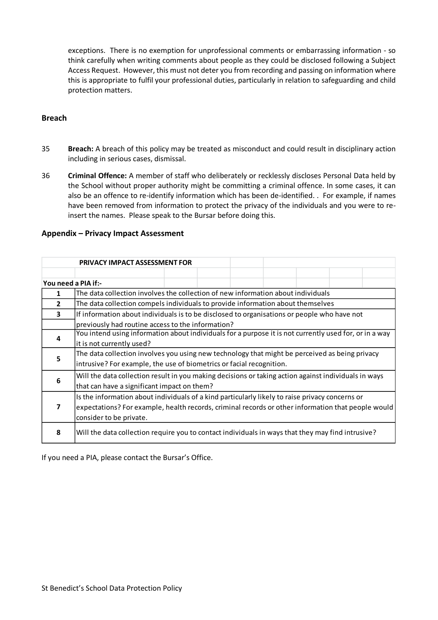exceptions. There is no exemption for unprofessional comments or embarrassing information - so think carefully when writing comments about people as they could be disclosed following a Subject Access Request. However, this must not deter you from recording and passing on information where this is appropriate to fulfil your professional duties, particularly in relation to safeguarding and child protection matters.

#### <span id="page-9-0"></span>**Breach**

- 35 **Breach:** A breach of this policy may be treated as misconduct and could result in disciplinary action including in serious cases, dismissal.
- 36 **Criminal Offence:** A member of staff who deliberately or recklessly discloses Personal Data held by the School without proper authority might be committing a criminal offence. In some cases, it can also be an offence to re-identify information which has been de-identified. . For example, if names have been removed from information to protect the privacy of the individuals and you were to reinsert the names. Please speak to the Bursar before doing this.

|                | <b>PRIVACY IMPACT ASSESSMENT FOR</b>                                                                   |  |  |  |  |  |  |  |  |
|----------------|--------------------------------------------------------------------------------------------------------|--|--|--|--|--|--|--|--|
|                | You need a PIA if:-                                                                                    |  |  |  |  |  |  |  |  |
|                | The data collection involves the collection of new information about individuals                       |  |  |  |  |  |  |  |  |
| $\overline{2}$ | The data collection compels individuals to provide information about themselves                        |  |  |  |  |  |  |  |  |
| 3              | If information about individuals is to be disclosed to organisations or people who have not            |  |  |  |  |  |  |  |  |
|                | previously had routine access to the information?                                                      |  |  |  |  |  |  |  |  |
| Δ              | You intend using information about individuals for a purpose it is not currently used for, or in a way |  |  |  |  |  |  |  |  |
|                | it is not currently used?                                                                              |  |  |  |  |  |  |  |  |
| 5              | The data collection involves you using new technology that might be perceived as being privacy         |  |  |  |  |  |  |  |  |
|                | intrusive? For example, the use of biometrics or facial recognition.                                   |  |  |  |  |  |  |  |  |
| 6              | Will the data collection result in you making decisions or taking action against individuals in ways   |  |  |  |  |  |  |  |  |
|                | that can have a significant impact on them?                                                            |  |  |  |  |  |  |  |  |
| 7              | Is the information about individuals of a kind particularly likely to raise privacy concerns or        |  |  |  |  |  |  |  |  |
|                | expectations? For example, health records, criminal records or other information that people would     |  |  |  |  |  |  |  |  |
|                | consider to be private.                                                                                |  |  |  |  |  |  |  |  |
| 8              | Will the data collection require you to contact individuals in ways that they may find intrusive?      |  |  |  |  |  |  |  |  |
|                |                                                                                                        |  |  |  |  |  |  |  |  |

## <span id="page-9-1"></span>**Appendix – Privacy Impact Assessment**

If you need a PIA, please contact the Bursar's Office.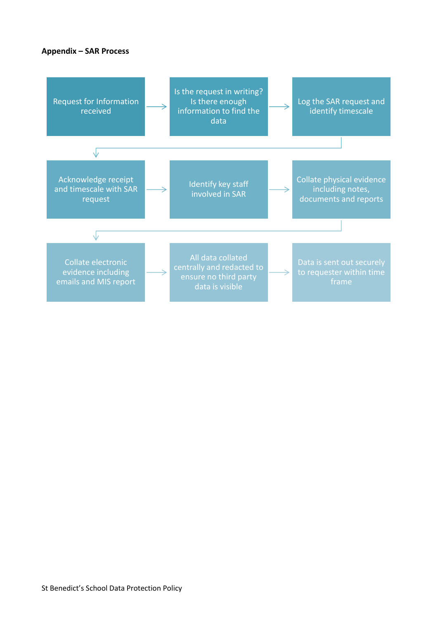## <span id="page-10-0"></span>**Appendix – SAR Process**